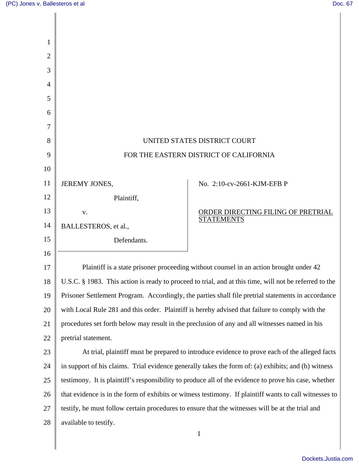∥

| 1  |                                                                                                        |                                                                                                    |  |
|----|--------------------------------------------------------------------------------------------------------|----------------------------------------------------------------------------------------------------|--|
| 2  |                                                                                                        |                                                                                                    |  |
| 3  |                                                                                                        |                                                                                                    |  |
| 4  |                                                                                                        |                                                                                                    |  |
| 5  |                                                                                                        |                                                                                                    |  |
| 6  |                                                                                                        |                                                                                                    |  |
| 7  |                                                                                                        |                                                                                                    |  |
| 8  | UNITED STATES DISTRICT COURT                                                                           |                                                                                                    |  |
| 9  | FOR THE EASTERN DISTRICT OF CALIFORNIA                                                                 |                                                                                                    |  |
| 10 |                                                                                                        |                                                                                                    |  |
| 11 | JEREMY JONES,                                                                                          | No. 2:10-cv-2661-KJM-EFB P                                                                         |  |
| 12 | Plaintiff,                                                                                             |                                                                                                    |  |
| 13 | V.                                                                                                     | ORDER DIRECTING FILING OF PRETRIAL                                                                 |  |
| 14 | BALLESTEROS, et al.,                                                                                   | <b>STATEMENTS</b>                                                                                  |  |
| 15 | Defendants.                                                                                            |                                                                                                    |  |
| 16 |                                                                                                        |                                                                                                    |  |
| 17 |                                                                                                        | Plaintiff is a state prisoner proceeding without counsel in an action brought under 42             |  |
| 18 | U.S.C. § 1983. This action is ready to proceed to trial, and at this time, will not be referred to the |                                                                                                    |  |
| 19 |                                                                                                        | Prisoner Settlement Program. Accordingly, the parties shall file pretrial statements in accordance |  |
| 20 | with Local Rule 281 and this order. Plaintiff is hereby advised that failure to comply with the        |                                                                                                    |  |
| 21 | procedures set forth below may result in the preclusion of any and all witnesses named in his          |                                                                                                    |  |
| 22 | pretrial statement.                                                                                    |                                                                                                    |  |
| 23 | At trial, plaintiff must be prepared to introduce evidence to prove each of the alleged facts          |                                                                                                    |  |
| 24 | in support of his claims. Trial evidence generally takes the form of: (a) exhibits; and (b) witness    |                                                                                                    |  |
| 25 | testimony. It is plaintiff's responsibility to produce all of the evidence to prove his case, whether  |                                                                                                    |  |
| 26 | that evidence is in the form of exhibits or witness testimony. If plaintiff wants to call witnesses to |                                                                                                    |  |
| 27 | testify, he must follow certain procedures to ensure that the witnesses will be at the trial and       |                                                                                                    |  |
| 28 | available to testify.                                                                                  |                                                                                                    |  |
|    |                                                                                                        | $\mathbf{1}$                                                                                       |  |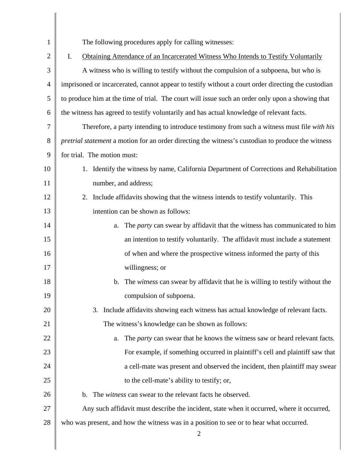| 1              | The following procedures apply for calling witnesses:                                                    |  |
|----------------|----------------------------------------------------------------------------------------------------------|--|
| $\overline{2}$ | I.<br>Obtaining Attendance of an Incarcerated Witness Who Intends to Testify Voluntarily                 |  |
| 3              | A witness who is willing to testify without the compulsion of a subpoena, but who is                     |  |
| 4              | imprisoned or incarcerated, cannot appear to testify without a court order directing the custodian       |  |
| 5              | to produce him at the time of trial. The court will issue such an order only upon a showing that         |  |
| 6              | the witness has agreed to testify voluntarily and has actual knowledge of relevant facts.                |  |
| 7              | Therefore, a party intending to introduce testimony from such a witness must file with his               |  |
| 8              | <i>pretrial statement</i> a motion for an order directing the witness's custodian to produce the witness |  |
| 9              | for trial. The motion must:                                                                              |  |
| 10             | 1. Identify the witness by name, California Department of Corrections and Rehabilitation                 |  |
| 11             | number, and address;                                                                                     |  |
| 12             | 2.<br>Include affidavits showing that the witness intends to testify voluntarily. This                   |  |
| 13             | intention can be shown as follows:                                                                       |  |
| 14             | The <i>party</i> can swear by affidavit that the witness has communicated to him<br>a.                   |  |
| 15             | an intention to testify voluntarily. The affidavit must include a statement                              |  |
| 16             | of when and where the prospective witness informed the party of this                                     |  |
| 17             | willingness; or                                                                                          |  |
| 18             | The <i>witness</i> can swear by affidavit that he is willing to testify without the<br>b.                |  |
| 19             | compulsion of subpoena.                                                                                  |  |
| 20             | 3. Include affidavits showing each witness has actual knowledge of relevant facts.                       |  |
| 21             | The witness's knowledge can be shown as follows:                                                         |  |
| 22             | The <i>party</i> can swear that he knows the witness saw or heard relevant facts.<br>a.                  |  |
| 23             | For example, if something occurred in plaintiff's cell and plaintiff saw that                            |  |
| 24             | a cell-mate was present and observed the incident, then plaintiff may swear                              |  |
| 25             | to the cell-mate's ability to testify; or,                                                               |  |
| 26             | b. The witness can swear to the relevant facts he observed.                                              |  |
| 27             | Any such affidavit must describe the incident, state when it occurred, where it occurred,                |  |
| 28             | who was present, and how the witness was in a position to see or to hear what occurred.                  |  |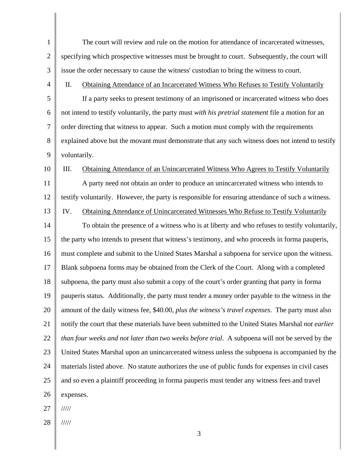| $\mathbf{1}$   | The court will review and rule on the motion for attendance of incarcerated witnesses,             |  |
|----------------|----------------------------------------------------------------------------------------------------|--|
| $\mathbf{2}$   | specifying which prospective witnesses must be brought to court. Subsequently, the court will      |  |
| 3              | issue the order necessary to cause the witness' custodian to bring the witness to court.           |  |
| $\overline{4}$ | Obtaining Attendance of an Incarcerated Witness Who Refuses to Testify Voluntarily<br>II.          |  |
| 5              | If a party seeks to present testimony of an imprisoned or incarcerated witness who does            |  |
| 6              | not intend to testify voluntarily, the party must with his pretrial statement file a motion for an |  |
| $\overline{7}$ | order directing that witness to appear. Such a motion must comply with the requirements            |  |
| 8              | explained above but the movant must demonstrate that any such witness does not intend to testify   |  |
| 9              | voluntarily.                                                                                       |  |
| 10             | III.<br>Obtaining Attendance of an Unincarcerated Witness Who Agrees to Testify Voluntarily        |  |
| 11             | A party need not obtain an order to produce an unincarcerated witness who intends to               |  |
| 12             | testify voluntarily. However, the party is responsible for ensuring attendance of such a witness.  |  |
| 13             | IV.<br>Obtaining Attendance of Unincarcerated Witnesses Who Refuse to Testify Voluntarily          |  |
| 14             | To obtain the presence of a witness who is at liberty and who refuses to testify voluntarily,      |  |
| 15             | the party who intends to present that witness's testimony, and who proceeds in forma pauperis,     |  |
| 16             | must complete and submit to the United States Marshal a subpoena for service upon the witness.     |  |
| 17             | Blank subpoena forms may be obtained from the Clerk of the Court. Along with a completed           |  |
| 18             | subpoena, the party must also submit a copy of the court's order granting that party in forma      |  |
| 19             | pauperis status. Additionally, the party must tender a money order payable to the witness in the   |  |
| 20             | amount of the daily witness fee, \$40.00, plus the witness's travel expenses. The party must also  |  |
| 21             | notify the court that these materials have been submitted to the United States Marshal not earlier |  |
| 22             | than four weeks and not later than two weeks before trial. A subpoena will not be served by the    |  |
| 23             | United States Marshal upon an unincarcerated witness unless the subpoena is accompanied by the     |  |
| 24             | materials listed above. No statute authorizes the use of public funds for expenses in civil cases  |  |
| 25             | and so even a plaintiff proceeding in forma pauperis must tender any witness fees and travel       |  |
| 26             | expenses.                                                                                          |  |
| 27             | $\frac{1}{1}$                                                                                      |  |
| 28             | 11111                                                                                              |  |

3